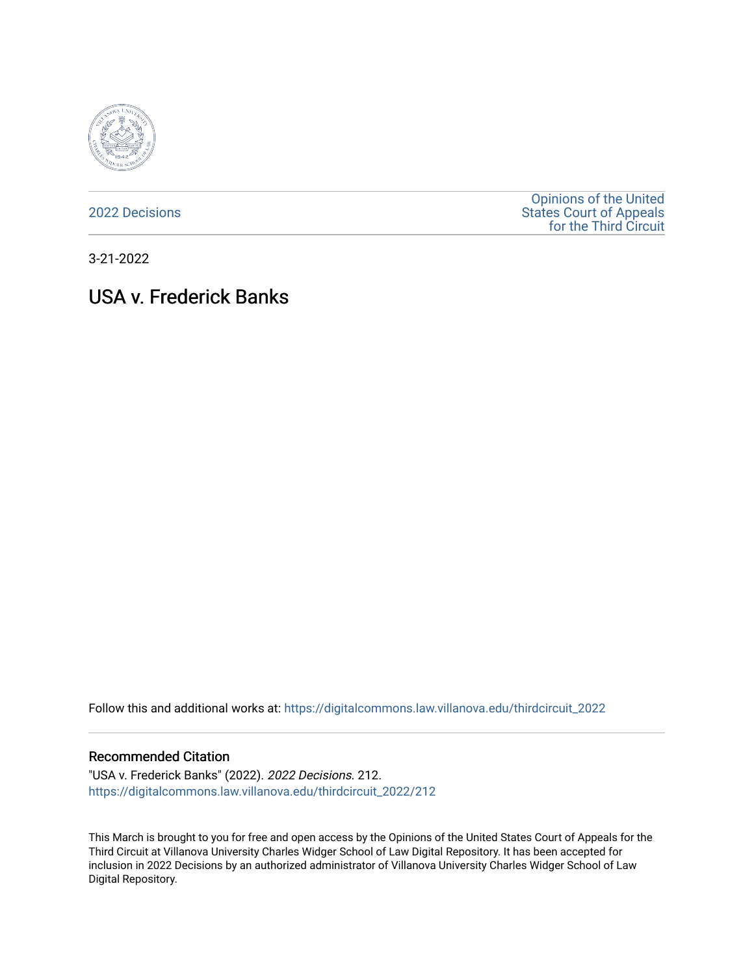

[2022 Decisions](https://digitalcommons.law.villanova.edu/thirdcircuit_2022)

[Opinions of the United](https://digitalcommons.law.villanova.edu/thirdcircuit)  [States Court of Appeals](https://digitalcommons.law.villanova.edu/thirdcircuit)  [for the Third Circuit](https://digitalcommons.law.villanova.edu/thirdcircuit) 

3-21-2022

# USA v. Frederick Banks

Follow this and additional works at: [https://digitalcommons.law.villanova.edu/thirdcircuit\\_2022](https://digitalcommons.law.villanova.edu/thirdcircuit_2022?utm_source=digitalcommons.law.villanova.edu%2Fthirdcircuit_2022%2F212&utm_medium=PDF&utm_campaign=PDFCoverPages) 

#### Recommended Citation

"USA v. Frederick Banks" (2022). 2022 Decisions. 212. [https://digitalcommons.law.villanova.edu/thirdcircuit\\_2022/212](https://digitalcommons.law.villanova.edu/thirdcircuit_2022/212?utm_source=digitalcommons.law.villanova.edu%2Fthirdcircuit_2022%2F212&utm_medium=PDF&utm_campaign=PDFCoverPages)

This March is brought to you for free and open access by the Opinions of the United States Court of Appeals for the Third Circuit at Villanova University Charles Widger School of Law Digital Repository. It has been accepted for inclusion in 2022 Decisions by an authorized administrator of Villanova University Charles Widger School of Law Digital Repository.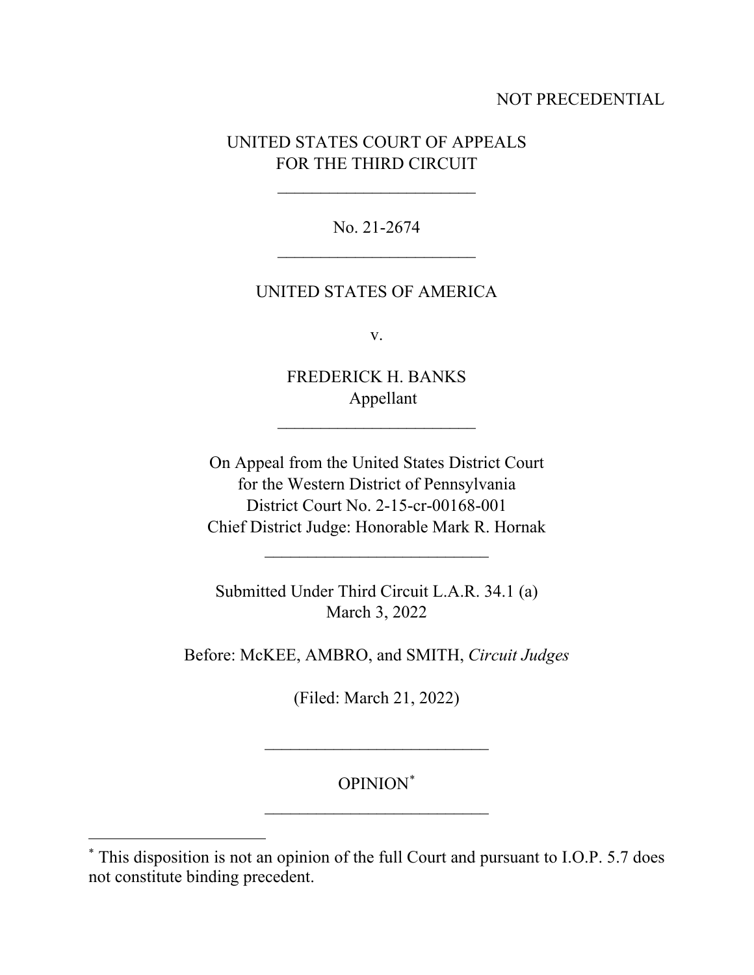# NOT PRECEDENTIAL

# UNITED STATES COURT OF APPEALS FOR THE THIRD CIRCUIT

 $\overline{\phantom{a}}$ 

No. 21-2674  $\overline{\phantom{a}}$ 

### UNITED STATES OF AMERICA

v.

FREDERICK H. BANKS Appellant

 $\overline{\phantom{a}}$ 

On Appeal from the United States District Court for the Western District of Pennsylvania District Court No. 2-15-cr-00168-001 Chief District Judge: Honorable Mark R. Hornak

Submitted Under Third Circuit L.A.R. 34.1 (a) March 3, 2022

\_\_\_\_\_\_\_\_\_\_\_\_\_\_\_\_\_\_\_\_\_\_\_\_\_\_

Before: McKEE, AMBRO, and SMITH, *Circuit Judges*

(Filed: March 21, 2022)

OPINION[\\*](#page-1-0) \_\_\_\_\_\_\_\_\_\_\_\_\_\_\_\_\_\_\_\_\_\_\_\_\_\_

\_\_\_\_\_\_\_\_\_\_\_\_\_\_\_\_\_\_\_\_\_\_\_\_\_\_

<span id="page-1-0"></span><sup>\*</sup> This disposition is not an opinion of the full Court and pursuant to I.O.P. 5.7 does not constitute binding precedent.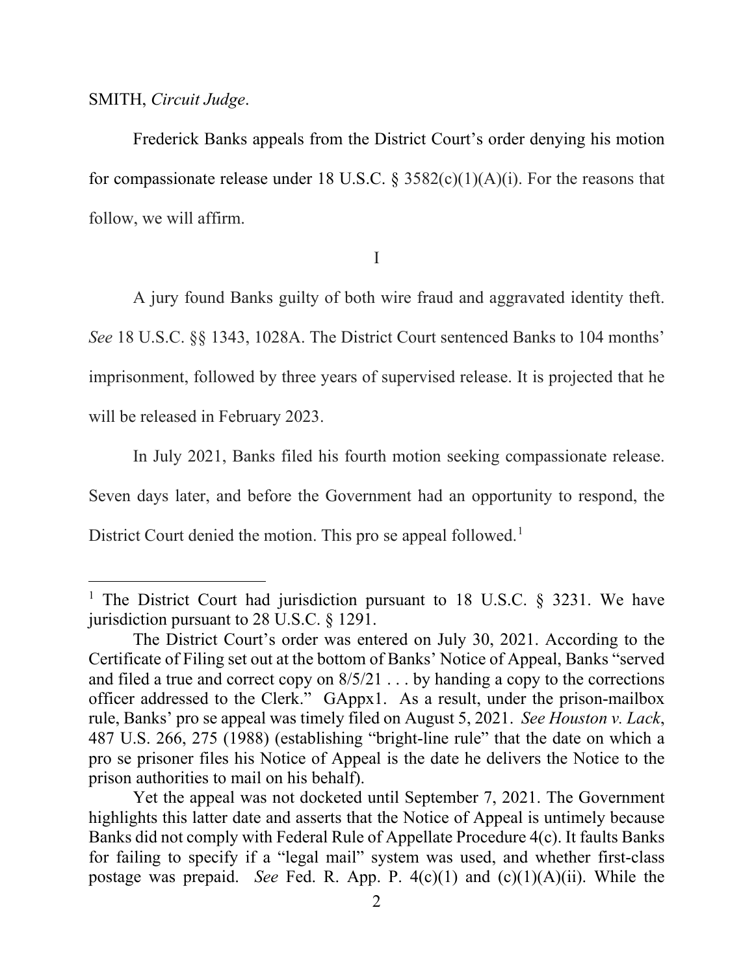#### SMITH, *Circuit Judge*.

Frederick Banks appeals from the District Court's order denying his motion for compassionate release under 18 U.S.C. § 3582(c)(1)(A)(i). For the reasons that follow, we will affirm.

I

A jury found Banks guilty of both wire fraud and aggravated identity theft. *See* 18 U.S.C. §§ 1343, 1028A. The District Court sentenced Banks to 104 months' imprisonment, followed by three years of supervised release. It is projected that he will be released in February 2023.

In July 2021, Banks filed his fourth motion seeking compassionate release. Seven days later, and before the Government had an opportunity to respond, the District Court denied the motion. This pro se appeal followed.<sup>[1](#page-2-0)</sup>

<span id="page-2-0"></span><sup>&</sup>lt;sup>1</sup> The District Court had jurisdiction pursuant to 18 U.S.C.  $\S$  3231. We have jurisdiction pursuant to 28 U.S.C. § 1291.

The District Court's order was entered on July 30, 2021. According to the Certificate of Filing set out at the bottom of Banks' Notice of Appeal, Banks "served and filed a true and correct copy on 8/5/21 . . . by handing a copy to the corrections officer addressed to the Clerk." GAppx1. As a result, under the prison-mailbox rule, Banks' pro se appeal was timely filed on August 5, 2021. *See Houston v. Lack*, 487 U.S. 266, 275 (1988) (establishing "bright-line rule" that the date on which a pro se prisoner files his Notice of Appeal is the date he delivers the Notice to the prison authorities to mail on his behalf).

Yet the appeal was not docketed until September 7, 2021. The Government highlights this latter date and asserts that the Notice of Appeal is untimely because Banks did not comply with Federal Rule of Appellate Procedure 4(c). It faults Banks for failing to specify if a "legal mail" system was used, and whether first-class postage was prepaid. *See* Fed. R. App. P. 4(c)(1) and (c)(1)(A)(ii). While the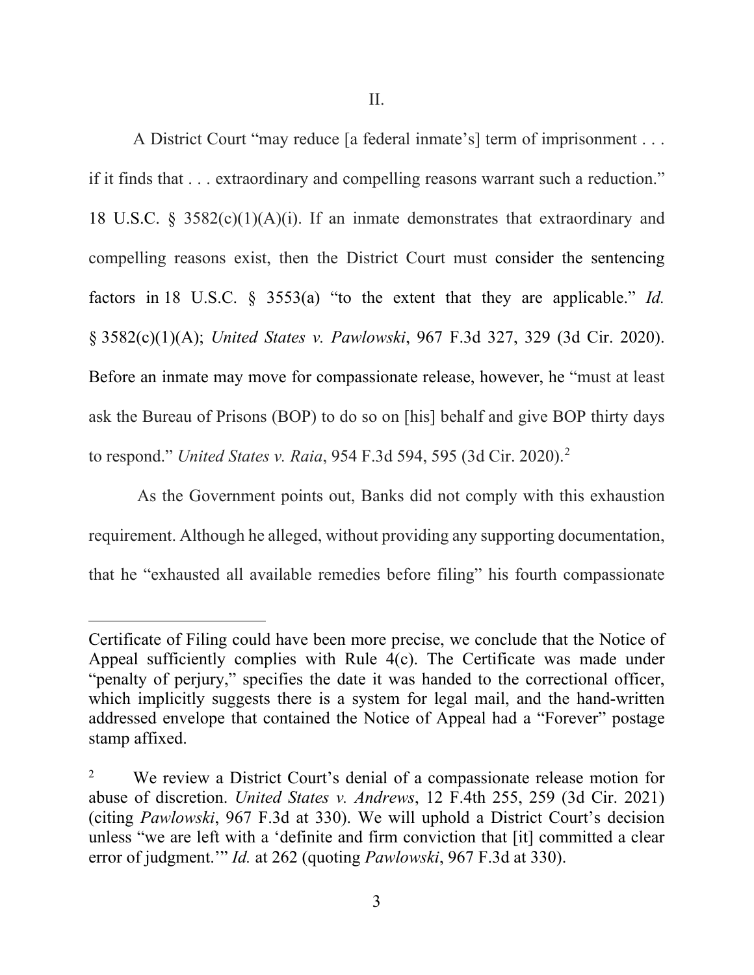II.

A District Court "may reduce [a federal inmate's] term of imprisonment . . . if it finds that . . . extraordinary and compelling reasons warrant such a reduction." 18 U.S.C. § 3582 $(c)(1)(A)(i)$ . If an inmate demonstrates that extraordinary and compelling reasons exist, then the District Court must consider the sentencing factors in 18 U.S.C. § 3553(a) "to the extent that they are applicable." *Id.*  § 3582(c)(1)(A); *United States v. Pawlowski*, 967 F.3d 327, 329 (3d Cir. 2020). Before an inmate may move for compassionate release, however, he "must at least ask the Bureau of Prisons (BOP) to do so on [his] behalf and give BOP thirty days to respond." *United States v. Raia*, 954 F.3d 594, 595 (3d Cir. 2020).[2](#page-3-0)

As the Government points out, Banks did not comply with this exhaustion requirement. Although he alleged, without providing any supporting documentation, that he "exhausted all available remedies before filing" his fourth compassionate

Certificate of Filing could have been more precise, we conclude that the Notice of Appeal sufficiently complies with Rule 4(c). The Certificate was made under "penalty of perjury," specifies the date it was handed to the correctional officer, which implicitly suggests there is a system for legal mail, and the hand-written addressed envelope that contained the Notice of Appeal had a "Forever" postage stamp affixed.

<span id="page-3-0"></span><sup>&</sup>lt;sup>2</sup> We review a District Court's denial of a compassionate release motion for abuse of discretion. *United States v. Andrews*, 12 F.4th 255, 259 (3d Cir. 2021) (citing *Pawlowski*, 967 F.3d at 330). We will uphold a District Court's decision unless "we are left with a 'definite and firm conviction that [it] committed a clear error of judgment.'" *Id.* at 262 (quoting *Pawlowski*, 967 F.3d at 330).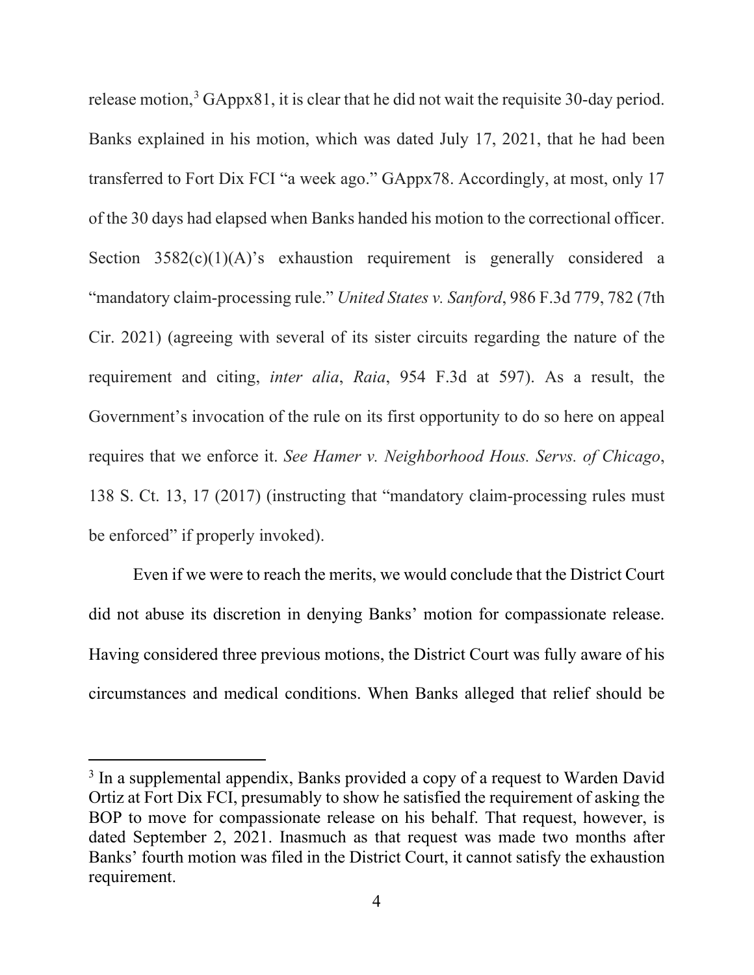release motion,<sup>[3](#page-4-0)</sup> GAppx81, it is clear that he did not wait the requisite 30-day period. Banks explained in his motion, which was dated July 17, 2021, that he had been transferred to Fort Dix FCI "a week ago." GAppx78. Accordingly, at most, only 17 of the 30 days had elapsed when Banks handed his motion to the correctional officer. Section  $3582(c)(1)(A)$ 's exhaustion requirement is generally considered a "mandatory claim-processing rule." *United States v. Sanford*, 986 F.3d 779, 782 (7th Cir. 2021) (agreeing with several of its sister circuits regarding the nature of the requirement and citing, *inter alia*, *Raia*, 954 F.3d at 597). As a result, the Government's invocation of the rule on its first opportunity to do so here on appeal requires that we enforce it. *See Hamer v. Neighborhood Hous. Servs. of Chicago*, 138 S. Ct. 13, 17 (2017) (instructing that "mandatory claim-processing rules must be enforced" if properly invoked).

Even if we were to reach the merits, we would conclude that the District Court did not abuse its discretion in denying Banks' motion for compassionate release. Having considered three previous motions, the District Court was fully aware of his circumstances and medical conditions. When Banks alleged that relief should be

<span id="page-4-0"></span><sup>&</sup>lt;sup>3</sup> In a supplemental appendix, Banks provided a copy of a request to Warden David Ortiz at Fort Dix FCI, presumably to show he satisfied the requirement of asking the BOP to move for compassionate release on his behalf. That request, however, is dated September 2, 2021. Inasmuch as that request was made two months after Banks' fourth motion was filed in the District Court, it cannot satisfy the exhaustion requirement.